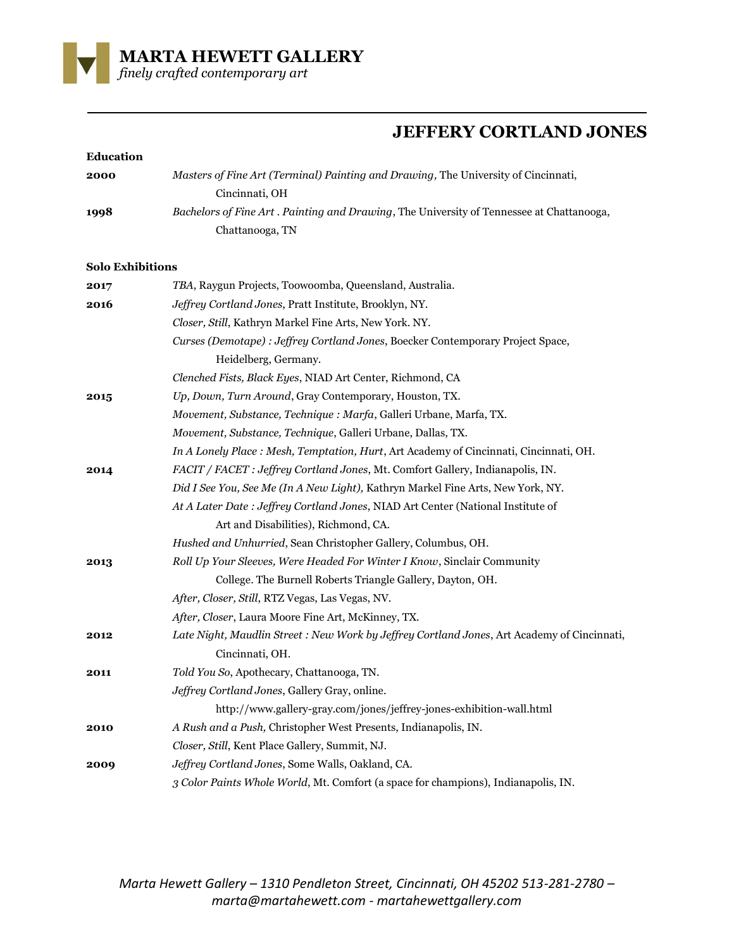

## **JEFFERY CORTLAND JONES**

| Education               |                                                                                                             |
|-------------------------|-------------------------------------------------------------------------------------------------------------|
| 2000                    | Masters of Fine Art (Terminal) Painting and Drawing, The University of Cincinnati,<br>Cincinnati, OH        |
| 1998                    | Bachelors of Fine Art. Painting and Drawing, The University of Tennessee at Chattanooga,<br>Chattanooga, TN |
| <b>Solo Exhibitions</b> |                                                                                                             |
| 2017                    | TBA, Raygun Projects, Toowoomba, Queensland, Australia.                                                     |
| 2016                    | Jeffrey Cortland Jones, Pratt Institute, Brooklyn, NY.                                                      |
|                         | Closer, Still, Kathryn Markel Fine Arts, New York. NY.                                                      |
|                         | Curses (Demotape) : Jeffrey Cortland Jones, Boecker Contemporary Project Space,                             |
|                         | Heidelberg, Germany.                                                                                        |
|                         | Clenched Fists, Black Eyes, NIAD Art Center, Richmond, CA                                                   |
| 2015                    | Up, Down, Turn Around, Gray Contemporary, Houston, TX.                                                      |
|                         | Movement, Substance, Technique : Marfa, Galleri Urbane, Marfa, TX.                                          |
|                         | Movement, Substance, Technique, Galleri Urbane, Dallas, TX.                                                 |
|                         | In A Lonely Place : Mesh, Temptation, Hurt, Art Academy of Cincinnati, Cincinnati, OH.                      |
| 2014                    | FACIT / FACET : Jeffrey Cortland Jones, Mt. Comfort Gallery, Indianapolis, IN.                              |
|                         | Did I See You, See Me (In A New Light), Kathryn Markel Fine Arts, New York, NY.                             |
|                         | At A Later Date : Jeffrey Cortland Jones, NIAD Art Center (National Institute of                            |
|                         | Art and Disabilities), Richmond, CA.                                                                        |
|                         | Hushed and Unhurried, Sean Christopher Gallery, Columbus, OH.                                               |
| 2013                    | Roll Up Your Sleeves, Were Headed For Winter I Know, Sinclair Community                                     |
|                         | College. The Burnell Roberts Triangle Gallery, Dayton, OH.                                                  |
|                         | After, Closer, Still, RTZ Vegas, Las Vegas, NV.                                                             |
|                         | After, Closer, Laura Moore Fine Art, McKinney, TX.                                                          |
| 2012                    | Late Night, Maudlin Street: New Work by Jeffrey Cortland Jones, Art Academy of Cincinnati,                  |
|                         | Cincinnati, OH.                                                                                             |
| 2011                    | Told You So, Apothecary, Chattanooga, TN.                                                                   |
|                         | Jeffrey Cortland Jones, Gallery Gray, online.                                                               |
|                         | http://www.gallery-gray.com/jones/jeffrey-jones-exhibition-wall.html                                        |
| <b>2010</b>             | A Rush and a Push, Christopher West Presents, Indianapolis, IN.                                             |
|                         | Closer, Still, Kent Place Gallery, Summit, NJ.                                                              |
| 2009                    | Jeffrey Cortland Jones, Some Walls, Oakland, CA.                                                            |
|                         | 3 Color Paints Whole World, Mt. Comfort (a space for champions), Indianapolis, IN.                          |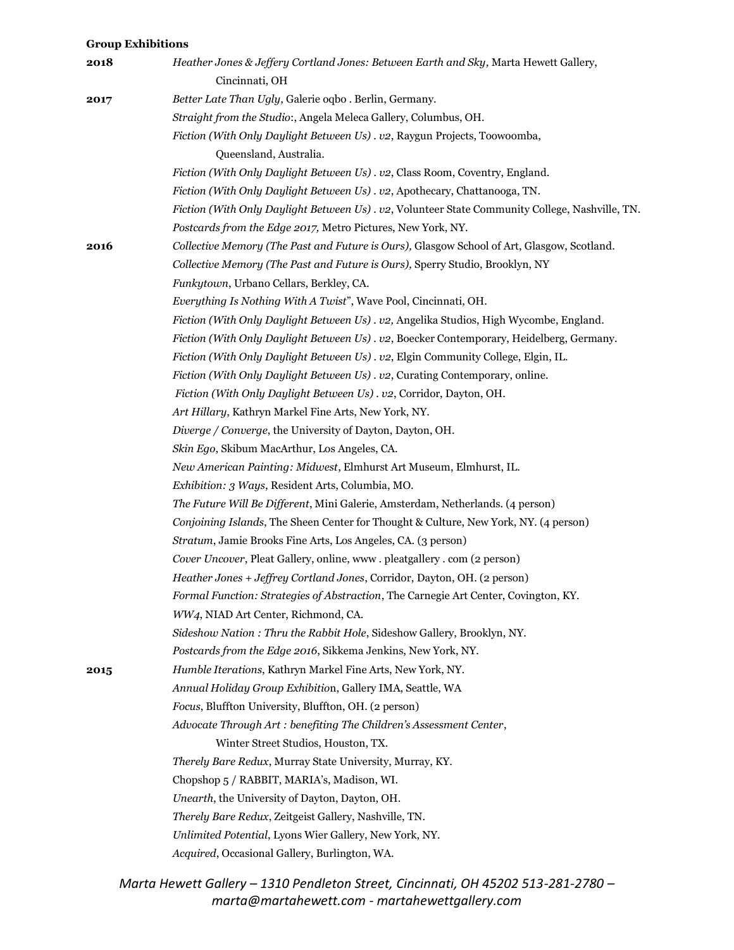## **Group Exhibitions**

| 2018 | Heather Jones & Jeffery Cortland Jones: Between Earth and Sky, Marta Hewett Gallery,<br>Cincinnati, OH |
|------|--------------------------------------------------------------------------------------------------------|
| 2017 | Better Late Than Ugly, Galerie oqbo . Berlin, Germany.                                                 |
|      | Straight from the Studio:, Angela Meleca Gallery, Columbus, OH.                                        |
|      | Fiction (With Only Daylight Between Us) . v2, Raygun Projects, Toowoomba,                              |
|      | Queensland, Australia.                                                                                 |
|      | Fiction (With Only Daylight Between Us). v2, Class Room, Coventry, England.                            |
|      | Fiction (With Only Daylight Between Us). v2, Apothecary, Chattanooga, TN.                              |
|      | Fiction (With Only Daylight Between Us). v2, Volunteer State Community College, Nashville, TN.         |
|      | Postcards from the Edge 2017, Metro Pictures, New York, NY.                                            |
| 2016 | Collective Memory (The Past and Future is Ours), Glasgow School of Art, Glasgow, Scotland.             |
|      | Collective Memory (The Past and Future is Ours), Sperry Studio, Brooklyn, NY                           |
|      | Funkytown, Urbano Cellars, Berkley, CA.                                                                |
|      | Everything Is Nothing With A Twist", Wave Pool, Cincinnati, OH.                                        |
|      | Fiction (With Only Daylight Between Us). v2, Angelika Studios, High Wycombe, England.                  |
|      | Fiction (With Only Daylight Between Us). v2, Boecker Contemporary, Heidelberg, Germany.                |
|      | Fiction (With Only Daylight Between Us). v2, Elgin Community College, Elgin, IL.                       |
|      | Fiction (With Only Daylight Between Us). v2, Curating Contemporary, online.                            |
|      | Fiction (With Only Daylight Between Us) . v2, Corridor, Dayton, OH.                                    |
|      | Art Hillary, Kathryn Markel Fine Arts, New York, NY.                                                   |
|      | Diverge / Converge, the University of Dayton, Dayton, OH.                                              |
|      | Skin Ego, Skibum MacArthur, Los Angeles, CA.                                                           |
|      | New American Painting: Midwest, Elmhurst Art Museum, Elmhurst, IL.                                     |
|      | Exhibition: 3 Ways, Resident Arts, Columbia, MO.                                                       |
|      | The Future Will Be Different, Mini Galerie, Amsterdam, Netherlands. (4 person)                         |
|      | Conjoining Islands, The Sheen Center for Thought & Culture, New York, NY. (4 person)                   |
|      | Stratum, Jamie Brooks Fine Arts, Los Angeles, CA. (3 person)                                           |
|      | Cover Uncover, Pleat Gallery, online, www.pleatgallery.com (2 person)                                  |
|      | Heather Jones + Jeffrey Cortland Jones, Corridor, Dayton, OH. (2 person)                               |
|      | Formal Function: Strategies of Abstraction, The Carnegie Art Center, Covington, KY.                    |
|      | WW4, NIAD Art Center, Richmond, CA.                                                                    |
|      | Sideshow Nation: Thru the Rabbit Hole, Sideshow Gallery, Brooklyn, NY.                                 |
|      | Postcards from the Edge 2016, Sikkema Jenkins, New York, NY.                                           |
| 2015 | Humble Iterations, Kathryn Markel Fine Arts, New York, NY.                                             |
|      | Annual Holiday Group Exhibition, Gallery IMA, Seattle, WA                                              |
|      | Focus, Bluffton University, Bluffton, OH. (2 person)                                                   |
|      | Advocate Through Art: benefiting The Children's Assessment Center,                                     |
|      | Winter Street Studios, Houston, TX.                                                                    |
|      | Therely Bare Redux, Murray State University, Murray, KY.                                               |
|      | Chopshop 5 / RABBIT, MARIA's, Madison, WI.                                                             |
|      | Unearth, the University of Dayton, Dayton, OH.                                                         |
|      | Therely Bare Redux, Zeitgeist Gallery, Nashville, TN.                                                  |
|      | Unlimited Potential, Lyons Wier Gallery, New York, NY.                                                 |
|      | Acquired, Occasional Gallery, Burlington, WA.                                                          |
|      |                                                                                                        |

*Marta Hewett Gallery – 1310 Pendleton Street, Cincinnati, OH 45202 513-281-2780 – marta@martahewett.com - martahewettgallery.com*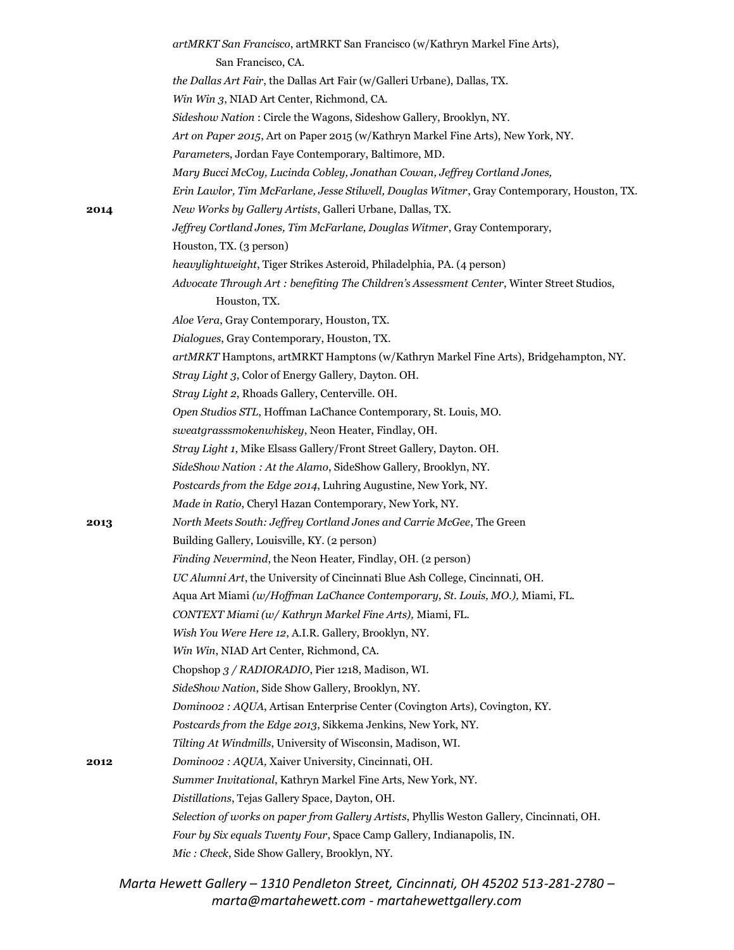|      | artMRKT San Francisco, artMRKT San Francisco (w/Kathryn Markel Fine Arts),                  |
|------|---------------------------------------------------------------------------------------------|
|      | San Francisco, CA.                                                                          |
|      | the Dallas Art Fair, the Dallas Art Fair (w/Galleri Urbane), Dallas, TX.                    |
|      | Win Win 3, NIAD Art Center, Richmond, CA.                                                   |
|      | Sideshow Nation: Circle the Wagons, Sideshow Gallery, Brooklyn, NY.                         |
|      | Art on Paper 2015, Art on Paper 2015 (w/Kathryn Markel Fine Arts), New York, NY.            |
|      | Parameters, Jordan Faye Contemporary, Baltimore, MD.                                        |
|      | Mary Bucci McCoy, Lucinda Cobley, Jonathan Cowan, Jeffrey Cortland Jones,                   |
|      | Erin Lawlor, Tim McFarlane, Jesse Stilwell, Douglas Witmer, Gray Contemporary, Houston, TX. |
| 2014 | New Works by Gallery Artists, Galleri Urbane, Dallas, TX.                                   |
|      | Jeffrey Cortland Jones, Tim McFarlane, Douglas Witmer, Gray Contemporary,                   |
|      | Houston, TX. (3 person)                                                                     |
|      | heavylightweight, Tiger Strikes Asteroid, Philadelphia, PA. (4 person)                      |
|      | Advocate Through Art : benefiting The Children's Assessment Center, Winter Street Studios,  |
|      | Houston, TX.                                                                                |
|      | Aloe Vera, Gray Contemporary, Houston, TX.                                                  |
|      | Dialogues, Gray Contemporary, Houston, TX.                                                  |
|      | artMRKT Hamptons, artMRKT Hamptons (w/Kathryn Markel Fine Arts), Bridgehampton, NY.         |
|      | Stray Light 3, Color of Energy Gallery, Dayton. OH.                                         |
|      | Stray Light 2, Rhoads Gallery, Centerville. OH.                                             |
|      | Open Studios STL, Hoffman LaChance Contemporary, St. Louis, MO.                             |
|      | sweatgrasssmokenwhiskey, Neon Heater, Findlay, OH.                                          |
|      | Stray Light 1, Mike Elsass Gallery/Front Street Gallery, Dayton. OH.                        |
|      | SideShow Nation : At the Alamo, SideShow Gallery, Brooklyn, NY.                             |
|      | Postcards from the Edge 2014, Luhring Augustine, New York, NY.                              |
|      | Made in Ratio, Cheryl Hazan Contemporary, New York, NY.                                     |
| 2013 | North Meets South: Jeffrey Cortland Jones and Carrie McGee, The Green                       |
|      | Building Gallery, Louisville, KY. (2 person)                                                |
|      | Finding Nevermind, the Neon Heater, Findlay, OH. (2 person)                                 |
|      | UC Alumni Art, the University of Cincinnati Blue Ash College, Cincinnati, OH.               |
|      | Aqua Art Miami (w/Hoffman LaChance Contemporary, St. Louis, MO.), Miami, FL.                |
|      | CONTEXT Miami (w/ Kathryn Markel Fine Arts), Miami, FL.                                     |
|      | Wish You Were Here 12, A.I.R. Gallery, Brooklyn, NY.                                        |
|      | Win Win, NIAD Art Center, Richmond, CA.                                                     |
|      | Chopshop 3 / RADIORADIO, Pier 1218, Madison, WI.                                            |
|      | SideShow Nation, Side Show Gallery, Brooklyn, NY.                                           |
|      | Dominoo2 : AQUA, Artisan Enterprise Center (Covington Arts), Covington, KY.                 |
|      | Postcards from the Edge 2013, Sikkema Jenkins, New York, NY.                                |
|      | Tilting At Windmills, University of Wisconsin, Madison, WI.                                 |
| 2012 | Dominoo2 : AQUA, Xaiver University, Cincinnati, OH.                                         |
|      | Summer Invitational, Kathryn Markel Fine Arts, New York, NY.                                |
|      | Distillations, Tejas Gallery Space, Dayton, OH.                                             |
|      | Selection of works on paper from Gallery Artists, Phyllis Weston Gallery, Cincinnati, OH.   |
|      | Four by Six equals Twenty Four, Space Camp Gallery, Indianapolis, IN.                       |
|      | Mic: Check, Side Show Gallery, Brooklyn, NY.                                                |
|      |                                                                                             |

*Marta Hewett Gallery – 1310 Pendleton Street, Cincinnati, OH 45202 513-281-2780 – marta@martahewett.com - martahewettgallery.com*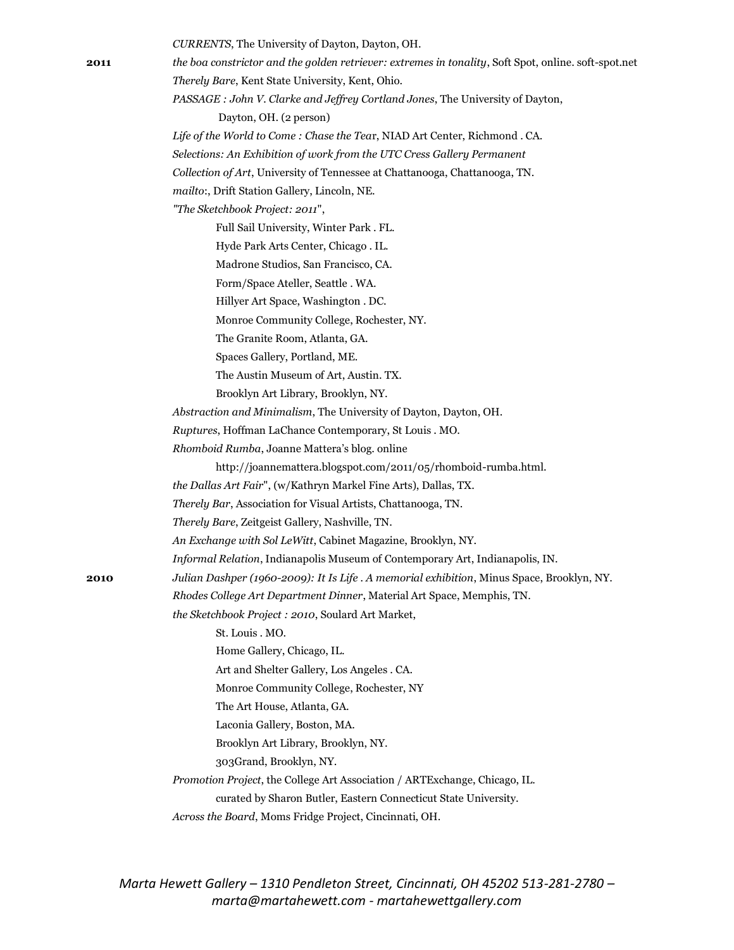|      | CURRENTS, The University of Dayton, Dayton, OH.                                                      |
|------|------------------------------------------------------------------------------------------------------|
| 2011 | the boa constrictor and the golden retriever: extremes in tonality, Soft Spot, online. soft-spot.net |
|      | Therely Bare, Kent State University, Kent, Ohio.                                                     |
|      | PASSAGE : John V. Clarke and Jeffrey Cortland Jones, The University of Dayton,                       |
|      | Dayton, OH. (2 person)                                                                               |
|      | Life of the World to Come: Chase the Tear, NIAD Art Center, Richmond. CA.                            |
|      | Selections: An Exhibition of work from the UTC Cress Gallery Permanent                               |
|      | Collection of Art, University of Tennessee at Chattanooga, Chattanooga, TN.                          |
|      | mailto:, Drift Station Gallery, Lincoln, NE.                                                         |
|      | "The Sketchbook Project: 2011",                                                                      |
|      | Full Sail University, Winter Park . FL.                                                              |
|      | Hyde Park Arts Center, Chicago . IL.                                                                 |
|      | Madrone Studios, San Francisco, CA.                                                                  |
|      | Form/Space Ateller, Seattle . WA.                                                                    |
|      | Hillyer Art Space, Washington . DC.                                                                  |
|      | Monroe Community College, Rochester, NY.                                                             |
|      | The Granite Room, Atlanta, GA.                                                                       |
|      | Spaces Gallery, Portland, ME.                                                                        |
|      | The Austin Museum of Art, Austin. TX.                                                                |
|      | Brooklyn Art Library, Brooklyn, NY.                                                                  |
|      | Abstraction and Minimalism, The University of Dayton, Dayton, OH.                                    |
|      | Ruptures, Hoffman LaChance Contemporary, St Louis . MO.                                              |
|      | Rhomboid Rumba, Joanne Mattera's blog. online                                                        |
|      | http://joannemattera.blogspot.com/2011/05/rhomboid-rumba.html.                                       |
|      | the Dallas Art Fair", (w/Kathryn Markel Fine Arts), Dallas, TX.                                      |
|      | Therely Bar, Association for Visual Artists, Chattanooga, TN.                                        |
|      | Therely Bare, Zeitgeist Gallery, Nashville, TN.                                                      |
|      | An Exchange with Sol LeWitt, Cabinet Magazine, Brooklyn, NY.                                         |
|      | Informal Relation, Indianapolis Museum of Contemporary Art, Indianapolis, IN.                        |
| 2010 | Julian Dashper (1960-2009): It Is Life . A memorial exhibition, Minus Space, Brooklyn, NY.           |
|      | Rhodes College Art Department Dinner, Material Art Space, Memphis, TN.                               |
|      | the Sketchbook Project : 2010, Soulard Art Market,                                                   |
|      | St. Louis . MO.                                                                                      |
|      | Home Gallery, Chicago, IL.                                                                           |
|      | Art and Shelter Gallery, Los Angeles . CA.                                                           |
|      | Monroe Community College, Rochester, NY                                                              |
|      | The Art House, Atlanta, GA.                                                                          |
|      | Laconia Gallery, Boston, MA.                                                                         |
|      | Brooklyn Art Library, Brooklyn, NY.                                                                  |
|      | 303Grand, Brooklyn, NY.                                                                              |
|      | Promotion Project, the College Art Association / ARTExchange, Chicago, IL.                           |
|      | curated by Sharon Butler, Eastern Connecticut State University.                                      |
|      | Across the Board, Moms Fridge Project, Cincinnati, OH.                                               |
|      |                                                                                                      |